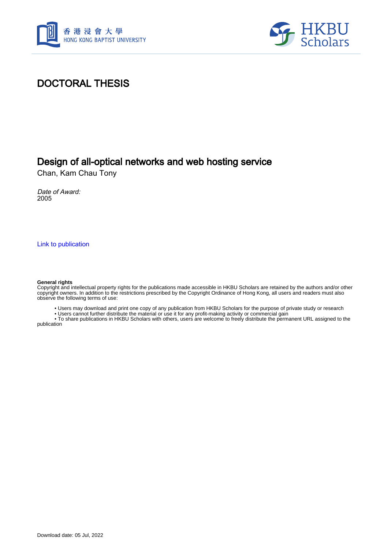



#### DOCTORAL THESIS

#### Design of all-optical networks and web hosting service

Chan, Kam Chau Tony

Date of Award: 2005

[Link to publication](https://scholars.hkbu.edu.hk/en/studentTheses/c98b8d8d-3a88-46fc-981c-e892df8efc3d)

#### **General rights**

Copyright and intellectual property rights for the publications made accessible in HKBU Scholars are retained by the authors and/or other copyright owners. In addition to the restrictions prescribed by the Copyright Ordinance of Hong Kong, all users and readers must also observe the following terms of use:

• Users may download and print one copy of any publication from HKBU Scholars for the purpose of private study or research

• Users cannot further distribute the material or use it for any profit-making activity or commercial gain

 • To share publications in HKBU Scholars with others, users are welcome to freely distribute the permanent URL assigned to the publication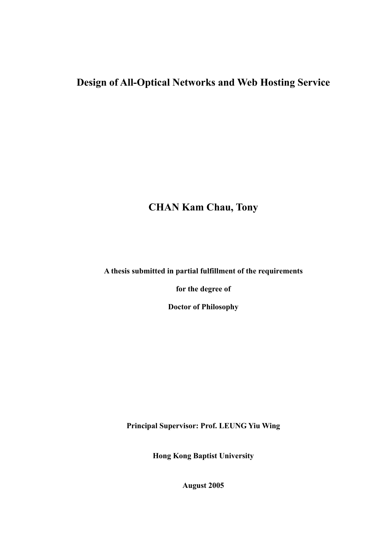## **Design of All-Optical Networks and Web Hosting Service**

## **CHAN Kam Chau, Tony**

**A thesis submitted in partial fulfillment of the requirements** 

**for the degree of** 

**Doctor of Philosophy** 

**Principal Supervisor: Prof. LEUNG Yiu Wing** 

**Hong Kong Baptist University** 

**August 2005**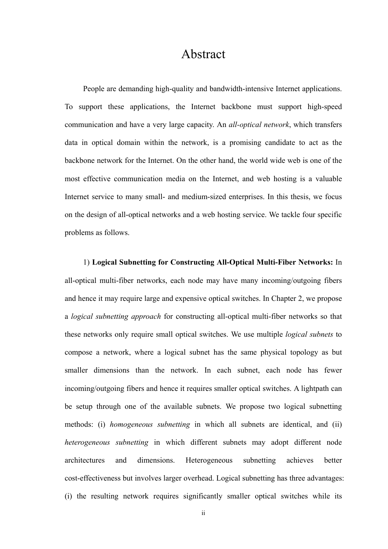#### Abstract

<span id="page-2-0"></span>People are demanding high-quality and bandwidth-intensive Internet applications. To support these applications, the Internet backbone must support high-speed communication and have a very large capacity. An *all-optical network*, which transfers data in optical domain within the network, is a promising candidate to act as the backbone network for the Internet. On the other hand, the world wide web is one of the most effective communication media on the Internet, and web hosting is a valuable Internet service to many small- and medium-sized enterprises. In this thesis, we focus on the design of all-optical networks and a web hosting service. We tackle four specific problems as follows.

1) **Logical Subnetting for Constructing All-Optical Multi-Fiber Networks:** In all-optical multi-fiber networks, each node may have many incoming/outgoing fibers and hence it may require large and expensive optical switches. In Chapter 2, we propose a *logical subnetting approach* for constructing all-optical multi-fiber networks so that these networks only require small optical switches. We use multiple *logical subnets* to compose a network, where a logical subnet has the same physical topology as but smaller dimensions than the network. In each subnet, each node has fewer incoming/outgoing fibers and hence it requires smaller optical switches. A lightpath can be setup through one of the available subnets. We propose two logical subnetting methods: (i) *homogeneous subnetting* in which all subnets are identical, and (ii) *heterogeneous subnetting* in which different subnets may adopt different node architectures and dimensions. Heterogeneous subnetting achieves better cost-effectiveness but involves larger overhead. Logical subnetting has three advantages: (i) the resulting network requires significantly smaller optical switches while its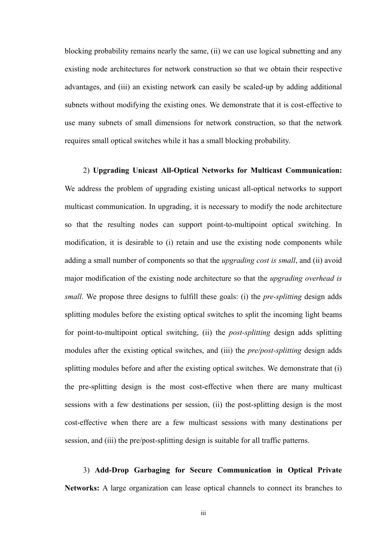blocking probability remains nearly the same, (ii) we can use logical subnetting and any existing node architectures for network construction so that we obtain their respective advantages, and (iii) an existing network can easily be scaled-up by adding additional subnets without modifying the existing ones. We demonstrate that it is cost-effective to use many subnets of small dimensions for network construction, so that the network requires small optical switches while it has a small blocking probability.

2) **Upgrading Unicast All-Optical Networks for Multicast Communication:** We address the problem of upgrading existing unicast all-optical networks to support multicast communication. In upgrading, it is necessary to modify the node architecture so that the resulting nodes can support point-to-multipoint optical switching. In modification, it is desirable to (i) retain and use the existing node components while adding a small number of components so that the *upgrading cost is small*, and (ii) avoid major modification of the existing node architecture so that the *upgrading overhead is small*. We propose three designs to fulfill these goals: (i) the *pre-splitting* design adds splitting modules before the existing optical switches to split the incoming light beams for point-to-multipoint optical switching, (ii) the *post-splitting* design adds splitting modules after the existing optical switches, and (iii) the *pre/post-splitting* design adds splitting modules before and after the existing optical switches. We demonstrate that (i) the pre-splitting design is the most cost-effective when there are many multicast sessions with a few destinations per session, (ii) the post-splitting design is the most cost-effective when there are a few multicast sessions with many destinations per session, and (iii) the pre/post-splitting design is suitable for all traffic patterns.

3) **Add-Drop Garbaging for Secure Communication in Optical Private Networks:** A large organization can lease optical channels to connect its branches to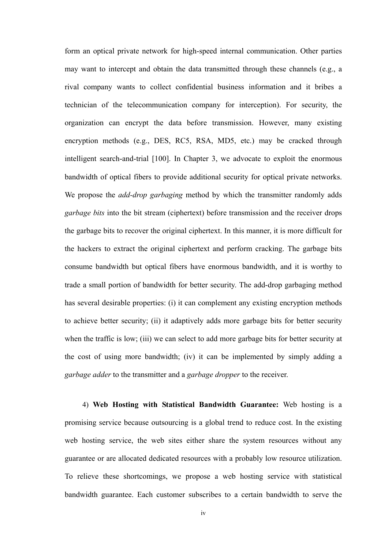form an optical private network for high-speed internal communication. Other parties may want to intercept and obtain the data transmitted through these channels (e.g., a rival company wants to collect confidential business information and it bribes a technician of the telecommunication company for interception). For security, the organization can encrypt the data before transmission. However, many existing encryption methods (e.g., DES, RC5, RSA, MD5, etc.) may be cracked through intelligent search-and-trial [100]. In Chapter 3, we advocate to exploit the enormous bandwidth of optical fibers to provide additional security for optical private networks. We propose the *add-drop garbaging* method by which the transmitter randomly adds *garbage bits* into the bit stream (ciphertext) before transmission and the receiver drops the garbage bits to recover the original ciphertext. In this manner, it is more difficult for the hackers to extract the original ciphertext and perform cracking. The garbage bits consume bandwidth but optical fibers have enormous bandwidth, and it is worthy to trade a small portion of bandwidth for better security. The add-drop garbaging method has several desirable properties: (i) it can complement any existing encryption methods to achieve better security; (ii) it adaptively adds more garbage bits for better security when the traffic is low; (iii) we can select to add more garbage bits for better security at the cost of using more bandwidth; (iv) it can be implemented by simply adding a *garbage adder* to the transmitter and a *garbage dropper* to the receiver.

4) **Web Hosting with Statistical Bandwidth Guarantee:** Web hosting is a promising service because outsourcing is a global trend to reduce cost. In the existing web hosting service, the web sites either share the system resources without any guarantee or are allocated dedicated resources with a probably low resource utilization. To relieve these shortcomings, we propose a web hosting service with statistical bandwidth guarantee. Each customer subscribes to a certain bandwidth to serve the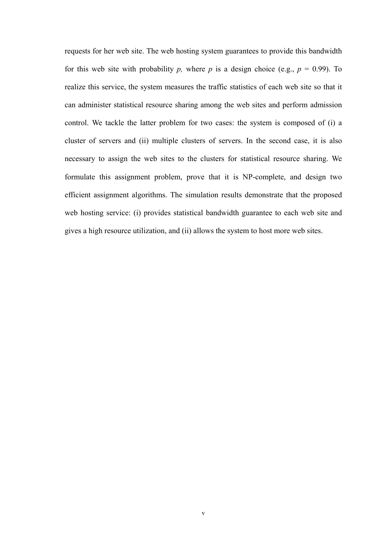requests for her web site. The web hosting system guarantees to provide this bandwidth for this web site with probability *p*, where *p* is a design choice (e.g.,  $p = 0.99$ ). To realize this service, the system measures the traffic statistics of each web site so that it can administer statistical resource sharing among the web sites and perform admission control. We tackle the latter problem for two cases: the system is composed of (i) a cluster of servers and (ii) multiple clusters of servers. In the second case, it is also necessary to assign the web sites to the clusters for statistical resource sharing. We formulate this assignment problem, prove that it is NP-complete, and design two efficient assignment algorithms. The simulation results demonstrate that the proposed web hosting service: (i) provides statistical bandwidth guarantee to each web site and gives a high resource utilization, and (ii) allows the system to host more web sites.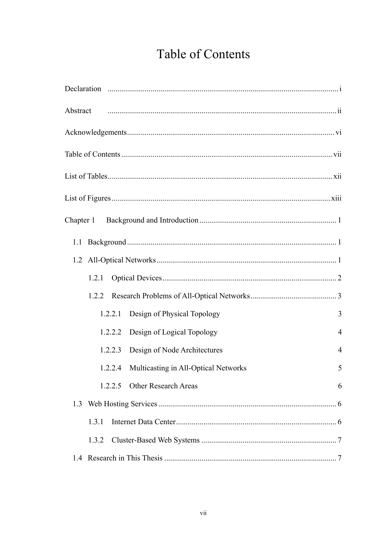# **Table of Contents**

<span id="page-6-0"></span>

| Abstract minimum minimum contract in the contract of the contract of the contract of the contract of the contract of the contract of the contract of the contract of the contract of the contract of the contract of the contr |                |
|--------------------------------------------------------------------------------------------------------------------------------------------------------------------------------------------------------------------------------|----------------|
|                                                                                                                                                                                                                                |                |
|                                                                                                                                                                                                                                |                |
|                                                                                                                                                                                                                                |                |
|                                                                                                                                                                                                                                |                |
|                                                                                                                                                                                                                                |                |
|                                                                                                                                                                                                                                |                |
|                                                                                                                                                                                                                                |                |
| 1.2.1                                                                                                                                                                                                                          |                |
| 1.2.2                                                                                                                                                                                                                          |                |
| Design of Physical Topology<br>1.2.2.1                                                                                                                                                                                         | 3              |
| Design of Logical Topology<br>1.2.2.2                                                                                                                                                                                          | $\overline{4}$ |
| Design of Node Architectures<br>1.2.2.3                                                                                                                                                                                        | $\overline{4}$ |
| Multicasting in All-Optical Networks<br>1.2.2.4                                                                                                                                                                                | 5              |
| 1.2.2.5 Other Research Areas                                                                                                                                                                                                   | 6              |
| 1.3                                                                                                                                                                                                                            |                |
| 1.3.1                                                                                                                                                                                                                          |                |
| 1.3.2                                                                                                                                                                                                                          |                |
|                                                                                                                                                                                                                                |                |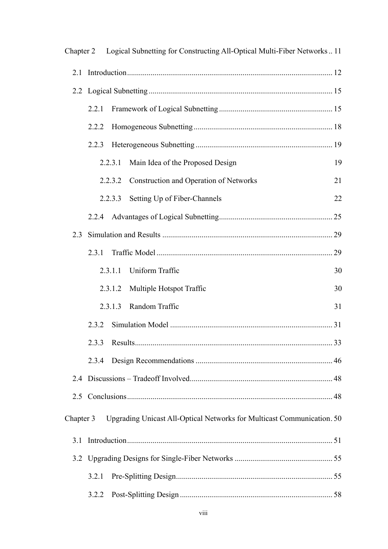|           |       |         | Chapter 2 Logical Subnetting for Constructing All-Optical Multi-Fiber Networks 11 |    |
|-----------|-------|---------|-----------------------------------------------------------------------------------|----|
|           |       |         |                                                                                   |    |
|           |       |         |                                                                                   |    |
|           | 2.2.1 |         |                                                                                   |    |
|           | 2.2.2 |         |                                                                                   |    |
|           | 2.2.3 |         |                                                                                   |    |
|           |       | 2.2.3.1 | Main Idea of the Proposed Design                                                  | 19 |
|           |       | 2.2.3.2 | Construction and Operation of Networks                                            | 21 |
|           |       | 2.2.3.3 | Setting Up of Fiber-Channels                                                      | 22 |
|           |       |         |                                                                                   |    |
| 23        |       |         |                                                                                   |    |
|           | 2.3.1 |         |                                                                                   |    |
|           |       | 2.3.1.1 | Uniform Traffic                                                                   | 30 |
|           |       | 2.3.1.2 | Multiple Hotspot Traffic                                                          | 30 |
|           |       | 2.3.1.3 | Random Traffic                                                                    | 31 |
|           | 2.3.2 |         |                                                                                   |    |
|           | 2.3.3 |         |                                                                                   |    |
|           | 2.3.4 |         |                                                                                   |    |
|           |       |         |                                                                                   |    |
| 2.5       |       |         |                                                                                   |    |
| Chapter 3 |       |         | Upgrading Unicast All-Optical Networks for Multicast Communication. 50            |    |
|           |       |         |                                                                                   |    |
|           |       |         |                                                                                   |    |
|           | 3.2.1 |         |                                                                                   |    |
|           | 3.2.2 |         |                                                                                   |    |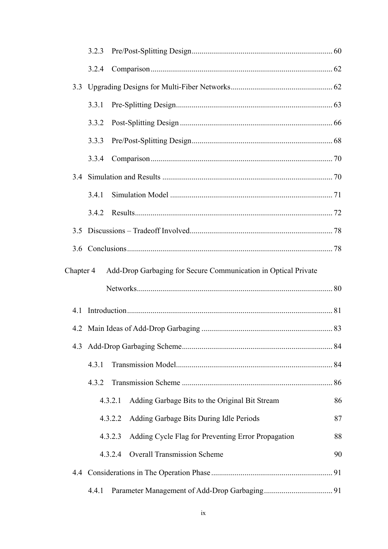|                                                                             | 3.2.3 |                                                               |    |
|-----------------------------------------------------------------------------|-------|---------------------------------------------------------------|----|
|                                                                             | 3.2.4 |                                                               |    |
| 3.3                                                                         |       |                                                               |    |
|                                                                             | 3.3.1 |                                                               |    |
|                                                                             | 3.3.2 |                                                               |    |
|                                                                             | 3.3.3 |                                                               |    |
|                                                                             | 3.3.4 |                                                               |    |
|                                                                             |       |                                                               |    |
|                                                                             | 3.4.1 |                                                               |    |
|                                                                             | 3.4.2 |                                                               |    |
| 3.5                                                                         |       |                                                               |    |
|                                                                             |       |                                                               |    |
| Add-Drop Garbaging for Secure Communication in Optical Private<br>Chapter 4 |       |                                                               |    |
|                                                                             |       |                                                               |    |
|                                                                             |       |                                                               |    |
|                                                                             |       |                                                               |    |
|                                                                             |       |                                                               |    |
|                                                                             | 4.3.1 |                                                               |    |
|                                                                             | 4.3.2 |                                                               |    |
|                                                                             |       | Adding Garbage Bits to the Original Bit Stream<br>4.3.2.1     | 86 |
|                                                                             |       | Adding Garbage Bits During Idle Periods<br>4.3.2.2            | 87 |
|                                                                             |       | Adding Cycle Flag for Preventing Error Propagation<br>4.3.2.3 | 88 |
|                                                                             |       | <b>Overall Transmission Scheme</b><br>4.3.2.4                 | 90 |
|                                                                             |       |                                                               |    |
|                                                                             | 4.4.1 |                                                               |    |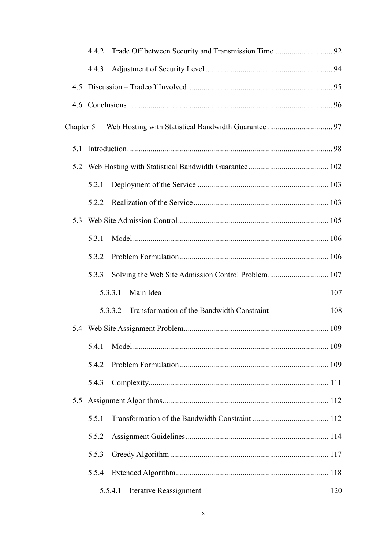|     | 4.4.2     |                                                       |     |  |
|-----|-----------|-------------------------------------------------------|-----|--|
|     | 4.4.3     |                                                       |     |  |
|     |           |                                                       |     |  |
|     |           |                                                       |     |  |
|     | Chapter 5 |                                                       |     |  |
| 5.1 |           |                                                       |     |  |
|     |           |                                                       |     |  |
|     | 5.2.1     |                                                       |     |  |
|     | 5.2.2     |                                                       |     |  |
| 5.3 |           |                                                       |     |  |
|     | 5.3.1     |                                                       |     |  |
|     | 5.3.2     |                                                       |     |  |
|     | 5.3.3     |                                                       |     |  |
|     |           | Main Idea<br>5.3.3.1                                  | 107 |  |
|     |           | Transformation of the Bandwidth Constraint<br>5.3.3.2 | 108 |  |
|     |           |                                                       |     |  |
|     | 5.4.1     |                                                       |     |  |
|     | 5.4.2     |                                                       |     |  |
|     | 5.4.3     |                                                       |     |  |
| 5.5 |           |                                                       |     |  |
|     | 5.5.1     |                                                       |     |  |
|     | 5.5.2     |                                                       |     |  |
|     | 5.5.3     |                                                       |     |  |
|     | 5.5.4     |                                                       |     |  |
|     |           | Iterative Reassignment<br>5.5.4.1                     | 120 |  |